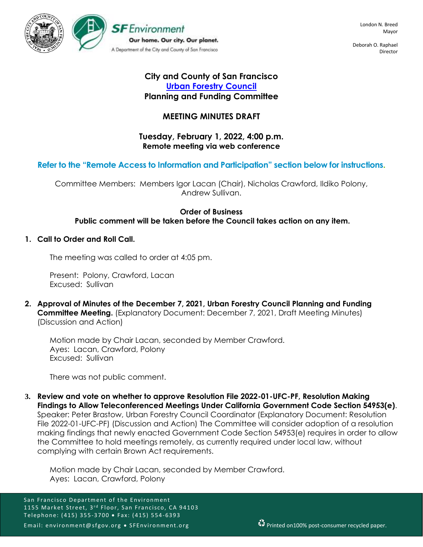

Deborah O. Raphael Director

## **City and County of San Francisco [Urban Forestry Council](https://sfenvironment.org/about/taskforce/urban-forestry-council) Planning and Funding Committee**

## **MEETING MINUTES DRAFT**

## **Tuesday, February 1, 2022, 4:00 p.m. Remote meeting via web conference**

## **Refer to the "Remote Access to Information and Participation" section below for instructions.**

Committee Members: Members Igor Lacan (Chair), Nicholas Crawford, Ildiko Polony, Andrew Sullivan.

### **Order of Business**

## **Public comment will be taken before the Council takes action on any item.**

## **1. Call to Order and Roll Call.**

The meeting was called to order at 4:05 pm.

Present: Polony, Crawford, Lacan Excused: Sullivan

**2. Approval of Minutes of the December 7, 2021, Urban Forestry Council Planning and Funding Committee Meeting.** (Explanatory Document: December 7, 2021, Draft Meeting Minutes) (Discussion and Action)

Motion made by Chair Lacan, seconded by Member Crawford. Ayes: Lacan, Crawford, Polony Excused: Sullivan

There was not public comment.

**3. Review and vote on whether to approve Resolution File 2022-01-UFC-PF, Resolution Making Findings to Allow Teleconferenced Meetings Under California Government Code Section 54953(e)**. Speaker: Peter Brastow, Urban Forestry Council Coordinator (Explanatory Document: Resolution File 2022-01-UFC-PF) (Discussion and Action) The Committee will consider adoption of a resolution making findings that newly enacted Government Code Section 54953(e) requires in order to allow the Committee to hold meetings remotely, as currently required under local law, without complying with certain Brown Act requirements.

Motion made by Chair Lacan, seconded by Member Crawford. Ayes: Lacan, Crawford, Polony

San Francisco Department of the Environment 1155 Market Street, 3<sup>rd</sup> Floor, San Francisco, CA 94103 Telephone: (415) 355-3700 • Fax: (415) 554-6393 Email: environment@sfgov.org • SFEnvironment.org Printed on100% post-consumer recycled paper.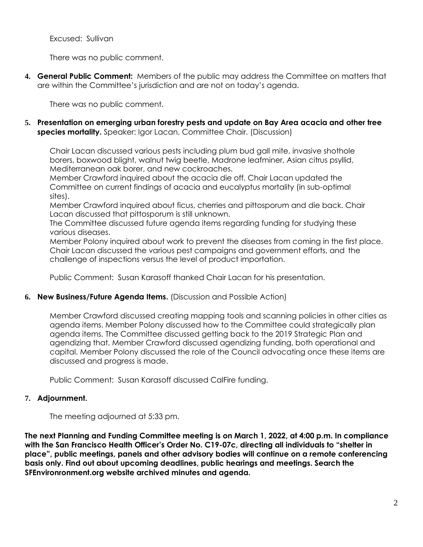Excused: Sullivan

There was no public comment.

**4. General Public Comment:** Members of the public may address the Committee on matters that are within the Committee's jurisdiction and are not on today's agenda.

There was no public comment.

**5. Presentation on emerging urban forestry pests and update on Bay Area acacia and other tree species mortality.** Speaker: Igor Lacan, Committee Chair. (Discussion)

Chair Lacan discussed various pests including plum bud gall mite, invasive shothole borers, boxwood blight, walnut twig beetle, Madrone leafminer, Asian citrus psyllid, Mediterranean oak borer, and new cockroaches.

Member Crawford inquired about the acacia die off. Chair Lacan updated the Committee on current findings of acacia and eucalyptus mortality (in sub-optimal sites).

Member Crawford inquired about ficus, cherries and pittosporum and die back. Chair Lacan discussed that pittosporum is still unknown.

The Committee discussed future agenda items regarding funding for studying these various diseases.

Member Polony inquired about work to prevent the diseases from coming in the first place. Chair Lacan discussed the various pest campaigns and government efforts, and the challenge of inspections versus the level of product importation.

Public Comment: Susan Karasoff thanked Chair Lacan for his presentation.

### **6. New Business/Future Agenda Items.** (Discussion and Possible Action)

Member Crawford discussed creating mapping tools and scanning policies in other cities as agenda items. Member Polony discussed how to the Committee could strategically plan agenda items. The Committee discussed getting back to the 2019 Strategic Plan and agendizing that. Member Crawford discussed agendizing funding, both operational and capital. Member Polony discussed the role of the Council advocating once these items are discussed and progress is made.

Public Comment: Susan Karasoff discussed CalFire funding.

## **7. Adjournment.**

The meeting adjourned at 5:33 pm.

**The next Planning and Funding Committee meeting is on March 1, 2022, at 4:00 p.m. In compliance with the San Francisco Health Officer's Order No. C19-07c, directing all individuals to "shelter in place", public meetings, panels and other advisory bodies will continue on a remote conferencing basis only. Find out about upcoming deadlines, public hearings and meetings. Search the SFEnvironronment.org website archived minutes and agenda.**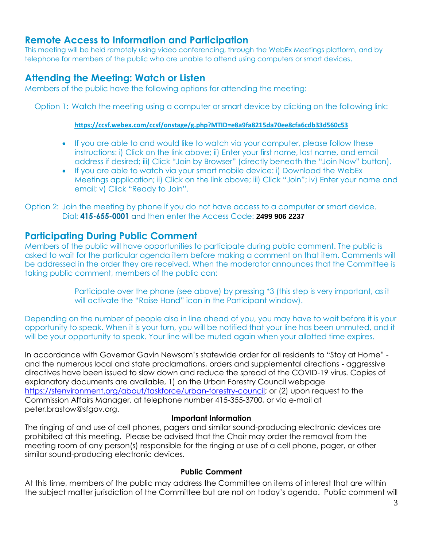# **Remote Access to Information and Participation**

This meeting will be held remotely using video conferencing, through the WebEx Meetings platform, and by telephone for members of the public who are unable to attend using computers or smart devices.

# **Attending the Meeting: Watch or Listen**

Members of the public have the following options for attending the meeting:

Option 1: Watch the meeting using a computer or smart device by clicking on the following link:

**<https://ccsf.webex.com/ccsf/onstage/g.php?MTID=e8a9fa8215da70ee8cfa6cdb33d560c53>**

- If you are able to and would like to watch via your computer, please follow these instructions: i) Click on the link above; ii) Enter your first name, last name, and email address if desired; iii) Click "Join by Browser" (directly beneath the "Join Now" button).
- If you are able to watch via your smart mobile device: i) Download the WebEx Meetings application; ii) Click on the link above; iii) Click "Join"; iv) Enter your name and email; v) Click "Ready to Join".

Option 2: Join the meeting by phone if you do not have access to a computer or smart device. Dial: **415-655-0001** and then enter the Access Code: **2499 906 2237**

# **Participating During Public Comment**

Members of the public will have opportunities to participate during public comment. The public is asked to wait for the particular agenda item before making a comment on that item. Comments will be addressed in the order they are received. When the moderator announces that the Committee is taking public comment, members of the public can:

> Participate over the phone (see above) by pressing \*3 (this step is very important, as it will activate the "Raise Hand" icon in the Participant window).

Depending on the number of people also in line ahead of you, you may have to wait before it is your opportunity to speak. When it is your turn, you will be notified that your line has been unmuted, and it will be your opportunity to speak. Your line will be muted again when your allotted time expires.

In accordance with Governor Gavin Newsom's statewide order for all residents to "Stay at Home" and the numerous local and state proclamations, orders and supplemental directions - aggressive directives have been issued to slow down and reduce the spread of the COVID-19 virus. Copies of explanatory documents are available, 1) on the Urban Forestry Council webpage [https://sfenvironment.org/about/taskforce/urban-forestry-council;](https://sfenvironment.org/about/taskforce/urban-forestry-council) or (2) upon request to the Commission Affairs Manager, at telephone number 415-355-3700, or via e-mail at peter.brastow@sfgov.org.

### **Important Information**

The ringing of and use of cell phones, pagers and similar sound-producing electronic devices are prohibited at this meeting. Please be advised that the Chair may order the removal from the meeting room of any person(s) responsible for the ringing or use of a cell phone, pager, or other similar sound-producing electronic devices.

### **Public Comment**

At this time, members of the public may address the Committee on items of interest that are within the subject matter jurisdiction of the Committee but are not on today's agenda. Public comment will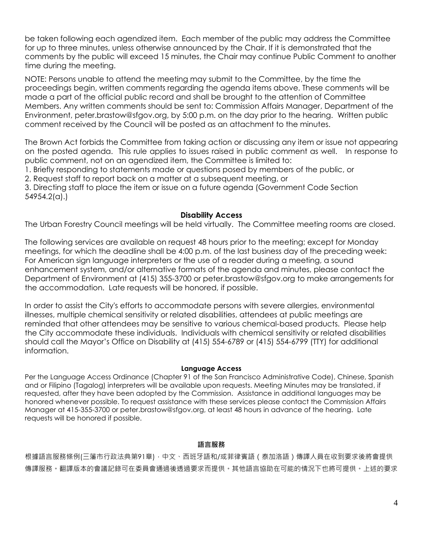be taken following each agendized item. Each member of the public may address the Committee for up to three minutes, unless otherwise announced by the Chair. If it is demonstrated that the comments by the public will exceed 15 minutes, the Chair may continue Public Comment to another time during the meeting.

NOTE: Persons unable to attend the meeting may submit to the Committee, by the time the proceedings begin, written comments regarding the agenda items above. These comments will be made a part of the official public record and shall be brought to the attention of Committee Members. Any written comments should be sent to: Commission Affairs Manager, Department of the Environment, peter.brastow@sfgov.org, by 5:00 p.m. on the day prior to the hearing. Written public comment received by the Council will be posted as an attachment to the minutes.

The Brown Act forbids the Committee from taking action or discussing any item or issue not appearing on the posted agenda. This rule applies to issues raised in public comment as well. In response to public comment, not on an agendized item, the Committee is limited to:

1. Briefly responding to statements made or questions posed by members of the public, or

2. Request staff to report back on a matter at a subsequent meeting, or

3. Directing staff to place the item or issue on a future agenda (Government Code Section 54954.2(a).)

### **Disability Access**

The Urban Forestry Council meetings will be held virtually. The Committee meeting rooms are closed.

The following services are available on request 48 hours prior to the meeting; except for Monday meetings, for which the deadline shall be 4:00 p.m. of the last business day of the preceding week: For American sign language interpreters or the use of a reader during a meeting, a sound enhancement system, and/or alternative formats of the agenda and minutes, please contact the Department of Environment at (415) 355-3700 or peter.brastow@sfgov.org to make arrangements for the accommodation. Late requests will be honored, if possible.

In order to assist the City's efforts to accommodate persons with severe allergies, environmental illnesses, multiple chemical sensitivity or related disabilities, attendees at public meetings are reminded that other attendees may be sensitive to various chemical-based products. Please help the City accommodate these individuals. Individuals with chemical sensitivity or related disabilities should call the Mayor's Office on Disability at (415) 554-6789 or (415) 554-6799 (TTY) for additional information.

#### **Language Access**

Per the Language Access Ordinance (Chapter 91 of the San Francisco Administrative Code), Chinese, Spanish and or Filipino (Tagalog) interpreters will be available upon requests. Meeting Minutes may be translated, if requested, after they have been adopted by the Commission. Assistance in additional languages may be honored whenever possible. To request assistance with these services please contact the Commission Affairs Manager at 415-355-3700 or peter.brastow@sfgov.org, at least 48 hours in advance of the hearing. Late requests will be honored if possible.

### **語言服務**

根據語言服務條例(三藩市行政法典第91章) · 中文、西班牙語和/或菲律賓語(泰加洛語)傳譯人員在收到要求後將會提供 傳譯服務。翻譯版本的會議記錄可在委員會通過後透過要求而提供。其他語言協助在可能的情況下也將可提供。上述的要求